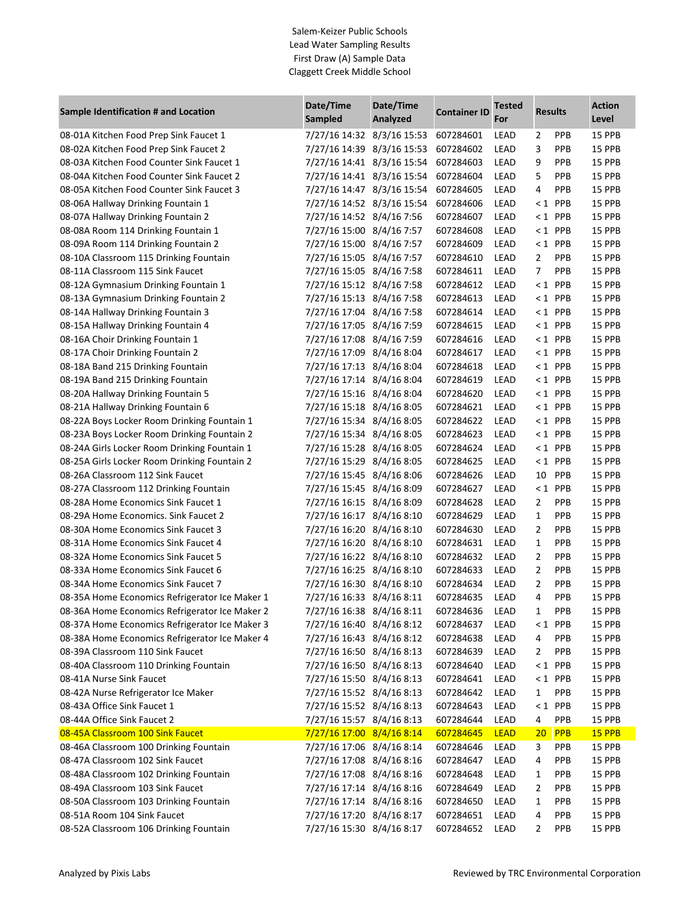| Sample Identification # and Location           | Date/Time<br>Sampled        | Date/Time<br><b>Analyzed</b> | <b>Container ID</b> | Tested<br>For | <b>Results</b> |            | <b>Action</b><br>Level |
|------------------------------------------------|-----------------------------|------------------------------|---------------------|---------------|----------------|------------|------------------------|
| 08-01A Kitchen Food Prep Sink Faucet 1         | 7/27/16 14:32 8/3/16 15:53  |                              | 607284601           | LEAD          | 2              | <b>PPB</b> | 15 PPB                 |
| 08-02A Kitchen Food Prep Sink Faucet 2         | 7/27/16 14:39 8/3/16 15:53  |                              | 607284602           | LEAD          | 3              | <b>PPB</b> | 15 PPB                 |
| 08-03A Kitchen Food Counter Sink Faucet 1      | 7/27/16 14:41 8/3/16 15:54  |                              | 607284603           | LEAD          | 9              | <b>PPB</b> | <b>15 PPB</b>          |
| 08-04A Kitchen Food Counter Sink Faucet 2      | 7/27/16 14:41 8/3/16 15:54  |                              | 607284604           | <b>LEAD</b>   | 5              | PPB        | 15 PPB                 |
| 08-05A Kitchen Food Counter Sink Faucet 3      | 7/27/16 14:47 8/3/16 15:54  |                              | 607284605           | LEAD          | 4              | PPB        | 15 PPB                 |
| 08-06A Hallway Drinking Fountain 1             | 7/27/16 14:52 8/3/16 15:54  |                              | 607284606           | LEAD          | $\leq 1$       | <b>PPB</b> | 15 PPB                 |
| 08-07A Hallway Drinking Fountain 2             | 7/27/16 14:52 8/4/16 7:56   |                              | 607284607           | <b>LEAD</b>   |                | $< 1$ PPB  | 15 PPB                 |
| 08-08A Room 114 Drinking Fountain 1            | 7/27/16 15:00 8/4/16 7:57   |                              | 607284608           | LEAD          | $\leq 1$       | PPB        | 15 PPB                 |
| 08-09A Room 114 Drinking Fountain 2            | 7/27/16 15:00 8/4/16 7:57   |                              | 607284609           | LEAD          | $\leq 1$       | <b>PPB</b> | 15 PPB                 |
| 08-10A Classroom 115 Drinking Fountain         | 7/27/16 15:05 8/4/16 7:57   |                              | 607284610           | LEAD          | 2              | PPB        | 15 PPB                 |
| 08-11A Classroom 115 Sink Faucet               | 7/27/16 15:05 8/4/16 7:58   |                              | 607284611           | LEAD          | 7              | <b>PPB</b> | 15 PPB                 |
| 08-12A Gymnasium Drinking Fountain 1           | 7/27/16 15:12 8/4/16 7:58   |                              | 607284612           | LEAD          |                | $< 1$ PPB  | 15 PPB                 |
| 08-13A Gymnasium Drinking Fountain 2           | 7/27/16 15:13 8/4/16 7:58   |                              | 607284613           | LEAD          |                | $< 1$ PPB  | 15 PPB                 |
| 08-14A Hallway Drinking Fountain 3             | 7/27/16 17:04 8/4/16 7:58   |                              | 607284614           | LEAD          |                | $< 1$ PPB  | 15 PPB                 |
| 08-15A Hallway Drinking Fountain 4             | 7/27/16 17:05 8/4/16 7:59   |                              | 607284615           | LEAD          |                | $< 1$ PPB  | 15 PPB                 |
| 08-16A Choir Drinking Fountain 1               | 7/27/16 17:08 8/4/16 7:59   |                              | 607284616           | LEAD          |                | $< 1$ PPB  | 15 PPB                 |
| 08-17A Choir Drinking Fountain 2               | 7/27/16 17:09 8/4/16 8:04   |                              | 607284617           | LEAD          |                | $< 1$ PPB  | 15 PPB                 |
| 08-18A Band 215 Drinking Fountain              | 7/27/16 17:13 8/4/16 8:04   |                              | 607284618           | LEAD          |                | $< 1$ PPB  | 15 PPB                 |
| 08-19A Band 215 Drinking Fountain              | 7/27/16 17:14 8/4/16 8:04   |                              | 607284619           | LEAD          |                | $< 1$ PPB  | 15 PPB                 |
| 08-20A Hallway Drinking Fountain 5             | 7/27/16 15:16 8/4/16 8:04   |                              | 607284620           | LEAD          |                | $< 1$ PPB  | 15 PPB                 |
| 08-21A Hallway Drinking Fountain 6             | 7/27/16 15:18 8/4/16 8:05   |                              | 607284621           | LEAD          |                | $< 1$ PPB  | 15 PPB                 |
| 08-22A Boys Locker Room Drinking Fountain 1    | 7/27/16 15:34 8/4/16 8:05   |                              | 607284622           | LEAD          |                | $< 1$ PPB  | 15 PPB                 |
| 08-23A Boys Locker Room Drinking Fountain 2    | 7/27/16 15:34 8/4/16 8:05   |                              | 607284623           | LEAD          |                | $< 1$ PPB  | 15 PPB                 |
| 08-24A Girls Locker Room Drinking Fountain 1   | 7/27/16 15:28 8/4/16 8:05   |                              | 607284624           | LEAD          |                | $< 1$ PPB  | 15 PPB                 |
| 08-25A Girls Locker Room Drinking Fountain 2   | 7/27/16 15:29 8/4/16 8:05   |                              | 607284625           | LEAD          |                | $< 1$ PPB  | 15 PPB                 |
| 08-26A Classroom 112 Sink Faucet               | 7/27/16 15:45 8/4/16 8:06   |                              | 607284626           | LEAD          |                | 10 PPB     | 15 PPB                 |
| 08-27A Classroom 112 Drinking Fountain         | 7/27/16 15:45 8/4/16 8:09   |                              | 607284627           | LEAD          |                | $< 1$ PPB  | 15 PPB                 |
| 08-28A Home Economics Sink Faucet 1            | 7/27/16 16:15 8/4/16 8:09   |                              | 607284628           | LEAD          | $\overline{2}$ | PPB        | 15 PPB                 |
| 08-29A Home Economics. Sink Faucet 2           | 7/27/16 16:17 8/4/16 8:10   |                              | 607284629           | LEAD          | 1              | PPB        | 15 PPB                 |
| 08-30A Home Economics Sink Faucet 3            | 7/27/16 16:20 8/4/16 8:10   |                              | 607284630           | LEAD          | 2              | PPB        | 15 PPB                 |
| 08-31A Home Economics Sink Faucet 4            | 7/27/16 16:20 8/4/16 8:10   |                              | 607284631           | LEAD          | 1              | PPB        | 15 PPB                 |
| 08-32A Home Economics Sink Faucet 5            | 7/27/16 16:22 8/4/16 8:10   |                              | 607284632           | LEAD          | 2              | PPB        | 15 PPB                 |
| 08-33A Home Economics Sink Faucet 6            | 7/27/16 16:25 8/4/16 8:10   |                              | 607284633           | LEAD          | 2              | PPB        | 15 PPB                 |
| 08-34A Home Economics Sink Faucet 7            | 7/27/16 16:30 8/4/16 8:10   |                              | 607284634           | LEAD          | $\overline{2}$ | PPB        | 15 PPB                 |
| 08-35A Home Economics Refrigerator Ice Maker 1 | 7/27/16 16:33 8/4/16 8:11   |                              | 607284635           | LEAD          | 4              | PPB        | 15 PPB                 |
| 08-36A Home Economics Refrigerator Ice Maker 2 | 7/27/16 16:38 8/4/16 8:11   |                              | 607284636           | LEAD          | $\mathbf{1}$   | PPB        | 15 PPB                 |
| 08-37A Home Economics Refrigerator Ice Maker 3 | 7/27/16 16:40 8/4/16 8:12   |                              | 607284637           | LEAD          |                | $< 1$ PPB  | 15 PPB                 |
| 08-38A Home Economics Refrigerator Ice Maker 4 | 7/27/16 16:43 8/4/16 8:12   |                              | 607284638           | LEAD          | 4              | PPB        | 15 PPB                 |
| 08-39A Classroom 110 Sink Faucet               | 7/27/16 16:50 8/4/16 8:13   |                              | 607284639           | LEAD          | 2              | PPB        | 15 PPB                 |
| 08-40A Classroom 110 Drinking Fountain         | 7/27/16 16:50 8/4/16 8:13   |                              | 607284640           | LEAD          |                | $< 1$ PPB  | 15 PPB                 |
| 08-41A Nurse Sink Faucet                       | 7/27/16 15:50 8/4/16 8:13   |                              | 607284641           | LEAD          |                | $< 1$ PPB  | 15 PPB                 |
| 08-42A Nurse Refrigerator Ice Maker            | 7/27/16 15:52 8/4/16 8:13   |                              | 607284642           | LEAD          | $\mathbf{1}$   | PPB        | 15 PPB                 |
| 08-43A Office Sink Faucet 1                    | 7/27/16 15:52 8/4/16 8:13   |                              | 607284643           | LEAD          |                | $< 1$ PPB  | 15 PPB                 |
| 08-44A Office Sink Faucet 2                    | 7/27/16 15:57 8/4/16 8:13   |                              | 607284644           | LEAD          | 4              | PPB        | 15 PPB                 |
| 08-45A Classroom 100 Sink Faucet               | $7/27/16$ 17:00 8/4/16 8:14 |                              | 607284645           | <b>LEAD</b>   | 20             | <b>PPB</b> | <b>15 PPB</b>          |
| 08-46A Classroom 100 Drinking Fountain         | 7/27/16 17:06 8/4/16 8:14   |                              | 607284646           | LEAD          | 3              | PPB        | 15 PPB                 |
| 08-47A Classroom 102 Sink Faucet               | 7/27/16 17:08 8/4/16 8:16   |                              | 607284647           | LEAD          | 4              | PPB        | 15 PPB                 |
| 08-48A Classroom 102 Drinking Fountain         | 7/27/16 17:08 8/4/16 8:16   |                              | 607284648           | LEAD          | 1              | PPB        | 15 PPB                 |
| 08-49A Classroom 103 Sink Faucet               | 7/27/16 17:14 8/4/16 8:16   |                              | 607284649           | LEAD          | 2              | PPB        | 15 PPB                 |
| 08-50A Classroom 103 Drinking Fountain         | 7/27/16 17:14 8/4/16 8:16   |                              | 607284650           | LEAD          | 1              | PPB        | 15 PPB                 |
| 08-51A Room 104 Sink Faucet                    | 7/27/16 17:20 8/4/16 8:17   |                              | 607284651           | LEAD          | 4              | PPB        | 15 PPB                 |
| 08-52A Classroom 106 Drinking Fountain         | 7/27/16 15:30 8/4/16 8:17   |                              | 607284652           | LEAD          | 2              | PPB        | 15 PPB                 |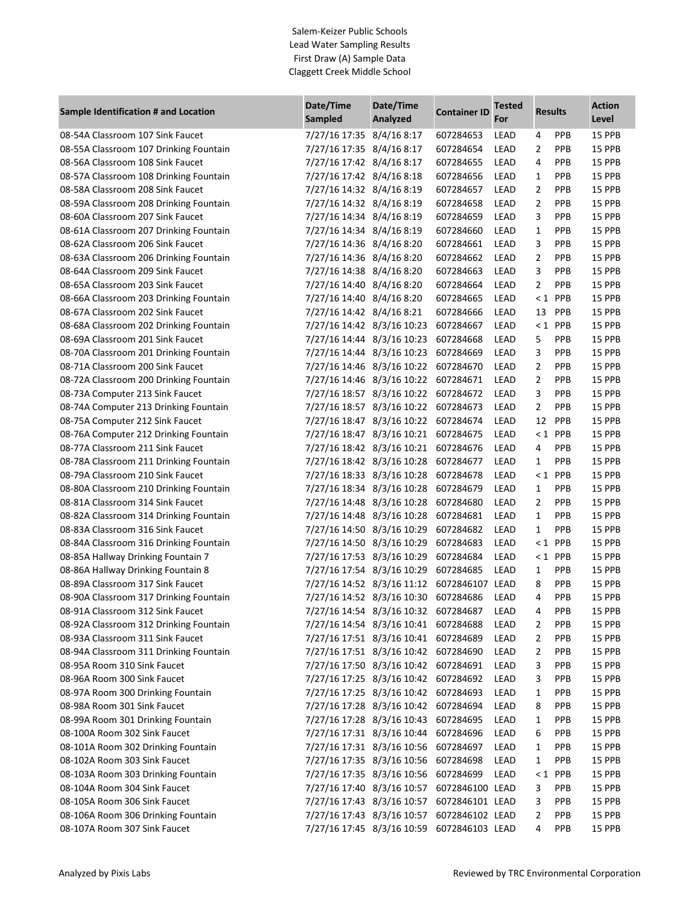| Sample Identification # and Location   | Date/Time<br>Sampled                       | Date/Time<br><b>Analyzed</b>         | <b>Container ID</b> | <b>Tested</b><br>For | <b>Results</b> |            | <b>Action</b><br>Level |
|----------------------------------------|--------------------------------------------|--------------------------------------|---------------------|----------------------|----------------|------------|------------------------|
| 08-54A Classroom 107 Sink Faucet       | 7/27/16 17:35 8/4/16 8:17                  |                                      | 607284653           | <b>LEAD</b>          | 4              | <b>PPB</b> | 15 PPB                 |
| 08-55A Classroom 107 Drinking Fountain | 7/27/16 17:35 8/4/16 8:17                  |                                      | 607284654           | LEAD                 | 2              | PPB        | 15 PPB                 |
| 08-56A Classroom 108 Sink Faucet       | 7/27/16 17:42 8/4/16 8:17                  |                                      | 607284655           | LEAD                 | 4              | PPB        | 15 PPB                 |
| 08-57A Classroom 108 Drinking Fountain | 7/27/16 17:42 8/4/16 8:18                  |                                      | 607284656           | LEAD                 | 1              | <b>PPB</b> | 15 PPB                 |
| 08-58A Classroom 208 Sink Faucet       | 7/27/16 14:32 8/4/16 8:19                  |                                      | 607284657           | LEAD                 | $\overline{2}$ | PPB        | 15 PPB                 |
| 08-59A Classroom 208 Drinking Fountain | 7/27/16 14:32 8/4/16 8:19                  |                                      | 607284658           | LEAD                 | $\overline{2}$ | PPB        | 15 PPB                 |
| 08-60A Classroom 207 Sink Faucet       | 7/27/16 14:34 8/4/16 8:19                  |                                      | 607284659           | LEAD                 | 3              | PPB        | 15 PPB                 |
| 08-61A Classroom 207 Drinking Fountain | 7/27/16 14:34 8/4/16 8:19                  |                                      | 607284660           | LEAD                 | 1              | PPB        | 15 PPB                 |
| 08-62A Classroom 206 Sink Faucet       | 7/27/16 14:36 8/4/16 8:20                  |                                      | 607284661           | LEAD                 | 3              | PPB        | 15 PPB                 |
| 08-63A Classroom 206 Drinking Fountain | 7/27/16 14:36 8/4/16 8:20                  |                                      | 607284662           | LEAD                 | $\overline{2}$ | PPB        | 15 PPB                 |
| 08-64A Classroom 209 Sink Faucet       | 7/27/16 14:38 8/4/16 8:20                  |                                      | 607284663           | LEAD                 | 3              | PPB        | 15 PPB                 |
| 08-65A Classroom 203 Sink Faucet       | 7/27/16 14:40 8/4/16 8:20                  |                                      | 607284664           | LEAD                 | $\overline{2}$ | PPB        | 15 PPB                 |
| 08-66A Classroom 203 Drinking Fountain | 7/27/16 14:40 8/4/16 8:20                  |                                      | 607284665           | LEAD                 | $\leq 1$       | PPB        | 15 PPB                 |
| 08-67A Classroom 202 Sink Faucet       | 7/27/16 14:42 8/4/16 8:21                  |                                      | 607284666           | LEAD                 | 13             | <b>PPB</b> | 15 PPB                 |
| 08-68A Classroom 202 Drinking Fountain | 7/27/16 14:42 8/3/16 10:23                 |                                      | 607284667           | LEAD                 | $\leq 1$       | PPB        | 15 PPB                 |
| 08-69A Classroom 201 Sink Faucet       | 7/27/16 14:44 8/3/16 10:23                 |                                      | 607284668           | LEAD                 | 5              | PPB        | 15 PPB                 |
| 08-70A Classroom 201 Drinking Fountain | 7/27/16 14:44 8/3/16 10:23                 |                                      | 607284669           | LEAD                 | 3              | PPB        | 15 PPB                 |
| 08-71A Classroom 200 Sink Faucet       | 7/27/16 14:46 8/3/16 10:22                 |                                      | 607284670           | LEAD                 | 2              | PPB        | 15 PPB                 |
| 08-72A Classroom 200 Drinking Fountain | 7/27/16 14:46 8/3/16 10:22                 |                                      | 607284671           | LEAD                 | $\overline{2}$ | PPB        | 15 PPB                 |
| 08-73A Computer 213 Sink Faucet        | 7/27/16 18:57 8/3/16 10:22                 |                                      | 607284672           | LEAD                 | 3              | PPB        | 15 PPB                 |
| 08-74A Computer 213 Drinking Fountain  | 7/27/16 18:57 8/3/16 10:22                 |                                      | 607284673           | LEAD                 | $\overline{2}$ | PPB        | 15 PPB                 |
| 08-75A Computer 212 Sink Faucet        | 7/27/16 18:47 8/3/16 10:22                 |                                      | 607284674           | LEAD                 | 12             | PPB        | 15 PPB                 |
| 08-76A Computer 212 Drinking Fountain  | 7/27/16 18:47 8/3/16 10:21                 |                                      | 607284675           | LEAD                 |                | $< 1$ PPB  | 15 PPB                 |
| 08-77A Classroom 211 Sink Faucet       | 7/27/16 18:42 8/3/16 10:21                 |                                      | 607284676           | LEAD                 | 4              | PPB        | 15 PPB                 |
| 08-78A Classroom 211 Drinking Fountain | 7/27/16 18:42 8/3/16 10:28                 |                                      | 607284677           | LEAD                 | 1              | <b>PPB</b> | 15 PPB                 |
| 08-79A Classroom 210 Sink Faucet       | 7/27/16 18:33 8/3/16 10:28                 |                                      | 607284678           | LEAD                 |                | $< 1$ PPB  | 15 PPB                 |
| 08-80A Classroom 210 Drinking Fountain | 7/27/16 18:34 8/3/16 10:28                 |                                      | 607284679           | LEAD                 | 1              | PPB        | 15 PPB                 |
| 08-81A Classroom 314 Sink Faucet       | 7/27/16 14:48 8/3/16 10:28                 |                                      | 607284680           | LEAD                 | $\overline{2}$ | PPB        | 15 PPB                 |
| 08-82A Classroom 314 Drinking Fountain | 7/27/16 14:48 8/3/16 10:28                 |                                      | 607284681           | LEAD                 | 1              | PPB        | 15 PPB                 |
| 08-83A Classroom 316 Sink Faucet       | 7/27/16 14:50 8/3/16 10:29                 |                                      | 607284682           | LEAD                 | $\mathbf{1}$   | PPB        | 15 PPB                 |
| 08-84A Classroom 316 Drinking Fountain | 7/27/16 14:50 8/3/16 10:29                 |                                      | 607284683           | LEAD                 | $\leq 1$       | PPB        | 15 PPB                 |
| 08-85A Hallway Drinking Fountain 7     | 7/27/16 17:53 8/3/16 10:29                 |                                      | 607284684           | LEAD                 | $\leq 1$       | PPB        | 15 PPB                 |
| 08-86A Hallway Drinking Fountain 8     | 7/27/16 17:54 8/3/16 10:29                 |                                      | 607284685           | LEAD                 | $\mathbf{1}$   | PPB        | 15 PPB                 |
| 08-89A Classroom 317 Sink Faucet       | 7/27/16 14:52 8/3/16 11:12                 |                                      | 6072846107 LEAD     |                      | 8              | PPB        | 15 PPB                 |
| 08-90A Classroom 317 Drinking Fountain | 7/27/16 14:52 8/3/16 10:30 607284686       |                                      |                     | LEAD                 | 4              | PPB        | 15 PPB                 |
| 08-91A Classroom 312 Sink Faucet       |                                            | 7/27/16 14:54 8/3/16 10:32 607284687 |                     | LEAD                 | 4              | PPB        | 15 PPB                 |
| 08-92A Classroom 312 Drinking Fountain | 7/27/16 14:54 8/3/16 10:41 607284688       |                                      |                     | LEAD                 | 2              | <b>PPB</b> | 15 PPB                 |
| 08-93A Classroom 311 Sink Faucet       | 7/27/16 17:51 8/3/16 10:41 607284689       |                                      |                     | LEAD                 | 2              | <b>PPB</b> | 15 PPB                 |
| 08-94A Classroom 311 Drinking Fountain | 7/27/16 17:51 8/3/16 10:42 607284690       |                                      |                     | LEAD                 | $\overline{2}$ | PPB        | 15 PPB                 |
| 08-95A Room 310 Sink Faucet            | 7/27/16 17:50 8/3/16 10:42 607284691       |                                      |                     | LEAD                 | 3              | PPB        | 15 PPB                 |
| 08-96A Room 300 Sink Faucet            | 7/27/16 17:25 8/3/16 10:42 607284692       |                                      |                     | LEAD                 | 3              | PPB        | 15 PPB                 |
| 08-97A Room 300 Drinking Fountain      | 7/27/16 17:25 8/3/16 10:42 607284693       |                                      |                     | LEAD                 | 1              | PPB        | 15 PPB                 |
| 08-98A Room 301 Sink Faucet            | 7/27/16 17:28 8/3/16 10:42 607284694       |                                      |                     | LEAD                 | 8              | PPB        | 15 PPB                 |
| 08-99A Room 301 Drinking Fountain      | 7/27/16 17:28 8/3/16 10:43 607284695       |                                      |                     | LEAD                 | 1              | PPB        | 15 PPB                 |
| 08-100A Room 302 Sink Faucet           | 7/27/16 17:31 8/3/16 10:44 607284696       |                                      |                     | LEAD                 | 6              | PPB        | 15 PPB                 |
| 08-101A Room 302 Drinking Fountain     | 7/27/16 17:31 8/3/16 10:56                 |                                      | 607284697           | LEAD                 | $\mathbf{1}$   | PPB        | 15 PPB                 |
| 08-102A Room 303 Sink Faucet           | 7/27/16 17:35 8/3/16 10:56                 |                                      | 607284698           |                      | $\mathbf{1}$   | PPB        |                        |
| 08-103A Room 303 Drinking Fountain     | 7/27/16 17:35 8/3/16 10:56                 |                                      | 607284699           | LEAD<br>LEAD         | $\leq 1$       | PPB        | 15 PPB<br>15 PPB       |
| 08-104A Room 304 Sink Faucet           | 7/27/16 17:40 8/3/16 10:57 6072846100 LEAD |                                      |                     |                      | 3              | PPB        | 15 PPB                 |
| 08-105A Room 306 Sink Faucet           | 7/27/16 17:43 8/3/16 10:57                 |                                      | 6072846101 LEAD     |                      | 3              | PPB        | 15 PPB                 |
|                                        | 7/27/16 17:43 8/3/16 10:57                 |                                      | 6072846102 LEAD     |                      | 2              | PPB        | <b>15 PPB</b>          |
| 08-106A Room 306 Drinking Fountain     |                                            |                                      |                     |                      |                |            |                        |
| 08-107A Room 307 Sink Faucet           | 7/27/16 17:45 8/3/16 10:59                 |                                      | 6072846103 LEAD     |                      | 4              | PPB        | 15 PPB                 |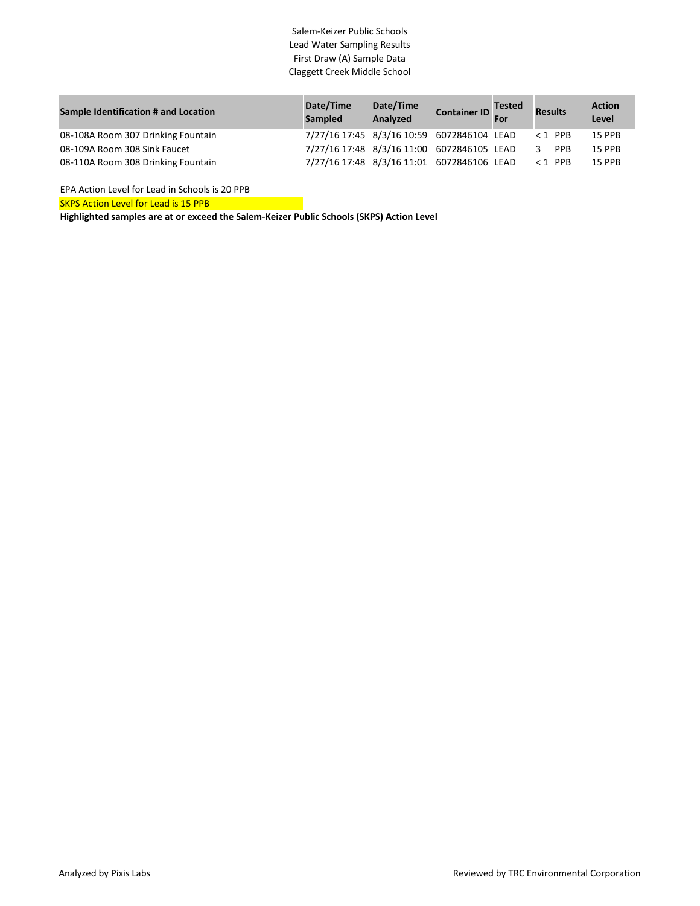| Sample Identification # and Location | Date/Time<br><b>Sampled</b>                | Date/Time<br><b>Analyzed</b> | <b>Container ID</b> For | Tested | <b>Results</b>  | <b>Action</b><br>Level |
|--------------------------------------|--------------------------------------------|------------------------------|-------------------------|--------|-----------------|------------------------|
| 08-108A Room 307 Drinking Fountain   | 7/27/16 17:45 8/3/16 10:59 6072846104 LEAD |                              |                         |        | $< 1$ PPB       | 15 PPB                 |
| 08-109A Room 308 Sink Faucet         | 7/27/16 17:48 8/3/16 11:00 6072846105 LEAD |                              |                         |        | <b>PPB</b><br>3 | 15 PPB                 |
| 08-110A Room 308 Drinking Fountain   | 7/27/16 17:48 8/3/16 11:01 6072846106 LEAD |                              |                         |        | $< 1$ PPB       | <b>15 PPB</b>          |

EPA Action Level for Lead in Schools is 20 PPB

SKPS Action Level for Lead is 15 PPB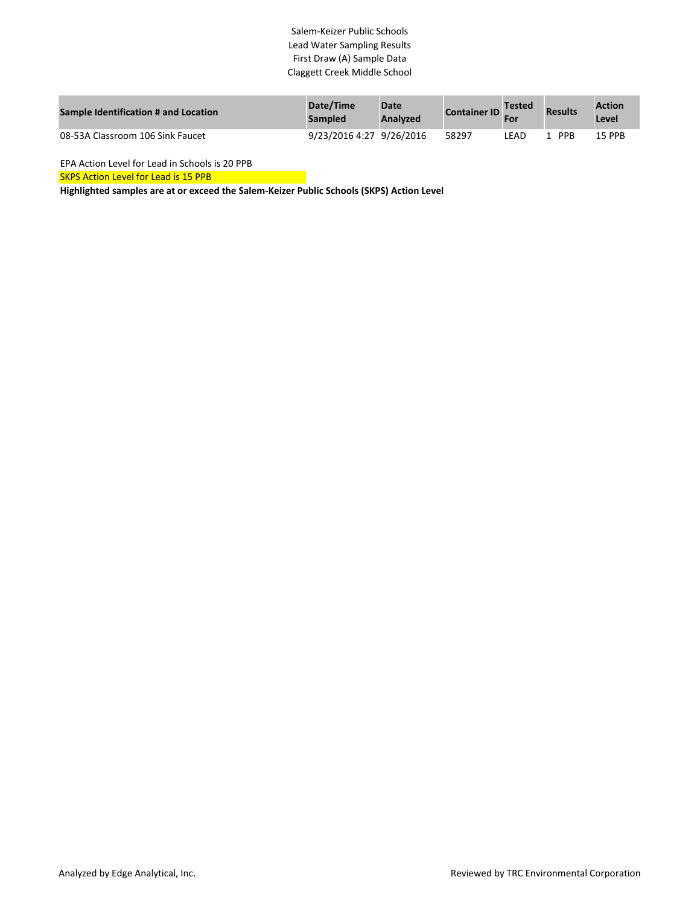| Sample Identification # and Location | Date/Time<br><b>Sampled</b> | Date<br><b>Analyzed</b> | <b>Container ID</b> | <b>Tested</b><br>For | <b>Results</b> | <b>Action</b><br>Level |
|--------------------------------------|-----------------------------|-------------------------|---------------------|----------------------|----------------|------------------------|
| 08-53A Classroom 106 Sink Faucet     | 9/23/2016 4:27 9/26/2016    |                         | 58297               | .EAD                 | <b>PPR</b>     | 15 PPB                 |

EPA Action Level for Lead in Schools is 20 PPB

SKPS Action Level for Lead is 15 PPB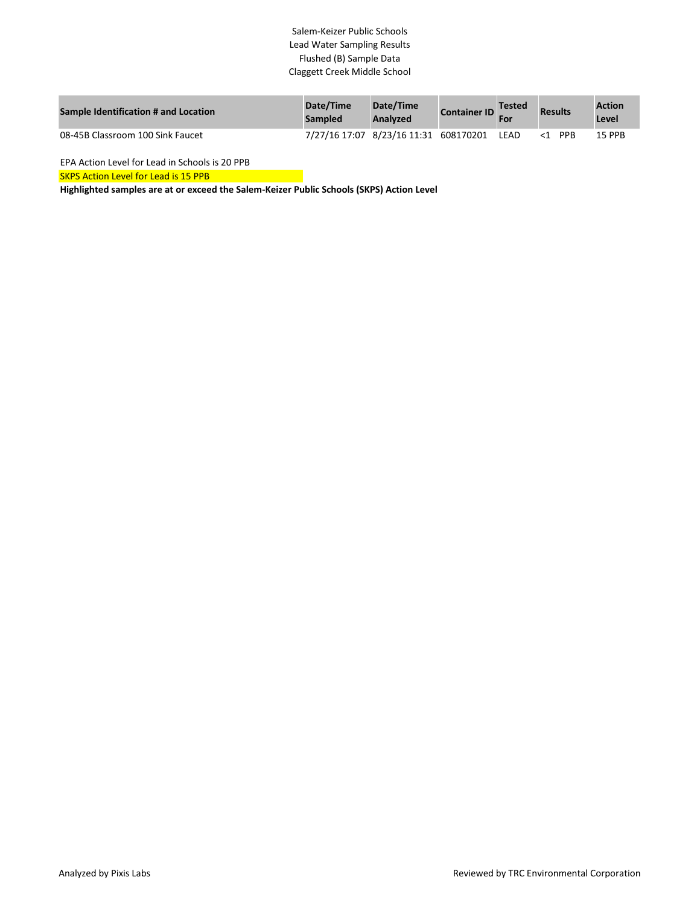| Sample Identification # and Location | Date/Time<br>Sampled | Date/Time<br>Analyzed                 | <b>Container ID</b> | <b>Tested</b><br>For | <b>Results</b>         | <b>Action</b><br>Level |
|--------------------------------------|----------------------|---------------------------------------|---------------------|----------------------|------------------------|------------------------|
| 08-45B Classroom 100 Sink Faucet     |                      | 7/27/16 17:07 8/23/16 11:31 608170201 |                     | LEAD                 | <b>PPR</b><br>$\leq 1$ | 15 PPB                 |

EPA Action Level for Lead in Schools is 20 PPB

**SKPS Action Level for Lead is 15 PPB**